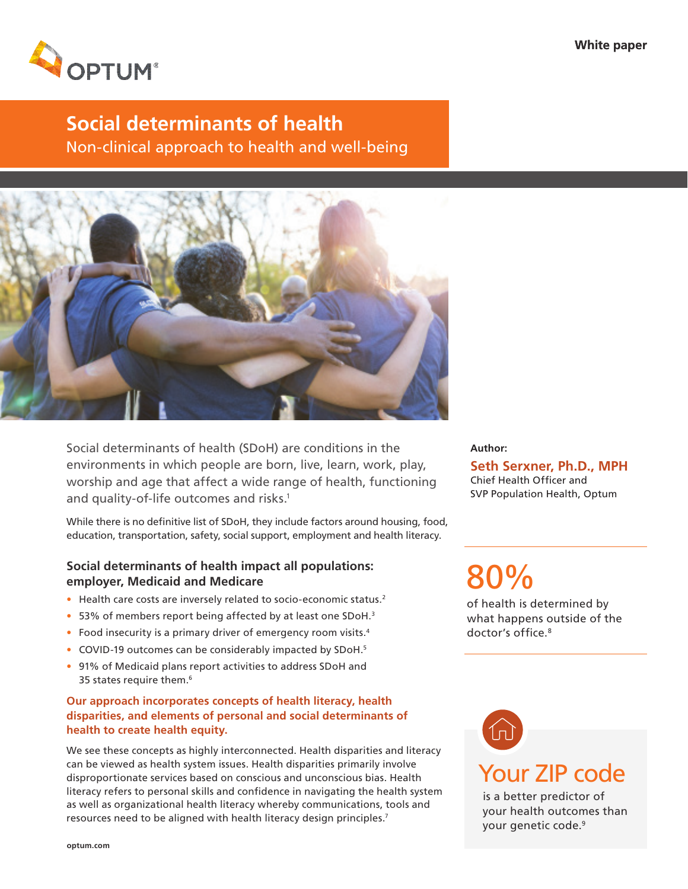

# **Social determinants of health**

Non-clinical approach to health and well-being



Social determinants of health (SDoH) are conditions in the environments in which people are born, live, learn, work, play, worship and age that affect a wide range of health, functioning and quality-of-life outcomes and risks.<sup>1</sup>

While there is no definitive list of SDoH, they include factors around housing, food, education, transportation, safety, social support, employment and health literacy.

# **Social determinants of health impact all populations: employer, Medicaid and Medicare**

- Health care costs are inversely related to socio-economic status.<sup>2</sup>
- 53% of members report being affected by at least one SDoH.<sup>3</sup>
- Food insecurity is a primary driver of emergency room visits.<sup>4</sup>
- COVID-19 outcomes can be considerably impacted by SDoH.<sup>5</sup>
- 91% of Medicaid plans report activities to address SDoH and 35 states require them.<sup>6</sup>

## **Our approach incorporates concepts of health literacy, health disparities, and elements of personal and social determinants of health to create health equity.**

We see these concepts as highly interconnected. Health disparities and literacy can be viewed as health system issues. Health disparities primarily involve disproportionate services based on conscious and unconscious bias. Health literacy refers to personal skills and confidence in navigating the health system as well as organizational health literacy whereby communications, tools and resources need to be aligned with health literacy design principles.<sup>7</sup>

**Author:**

**Seth Serxner, Ph.D., MPH** Chief Health Officer and SVP Population Health, Optum

80%

of health is determined by what happens outside of the doctor's office.<sup>8</sup>



is a better predictor of your health outcomes than your genetic code.9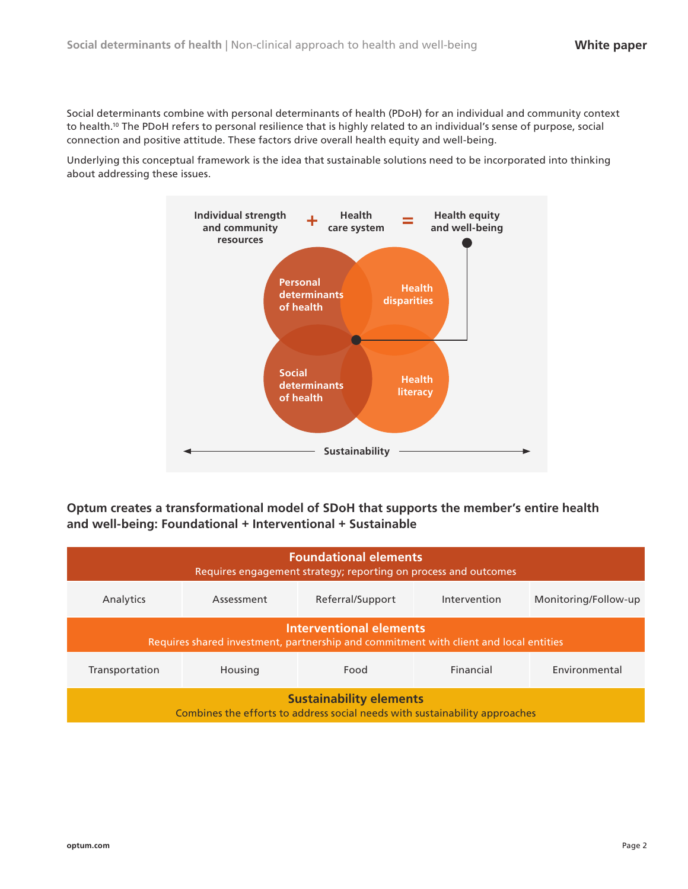Social determinants combine with personal determinants of health (PDoH) for an individual and community context to health.10 The PDoH refers to personal resilience that is highly related to an individual's sense of purpose, social connection and positive attitude. These factors drive overall health equity and well-being.

Underlying this conceptual framework is the idea that sustainable solutions need to be incorporated into thinking about addressing these issues.



**Optum creates a transformational model of SDoH that supports the member's entire health and well-being: Foundational + Interventional + Sustainable**

| <b>Foundational elements</b><br>Requires engagement strategy; reporting on process and outcomes                         |            |                  |              |                      |
|-------------------------------------------------------------------------------------------------------------------------|------------|------------------|--------------|----------------------|
| Analytics                                                                                                               | Assessment | Referral/Support | Intervention | Monitoring/Follow-up |
| <b>Interventional elements</b><br>Requires shared investment, partnership and commitment with client and local entities |            |                  |              |                      |
| Transportation                                                                                                          | Housing    | Food             | Financial    | Environmental        |
| <b>Sustainability elements</b><br>Combines the efforts to address social needs with sustainability approaches           |            |                  |              |                      |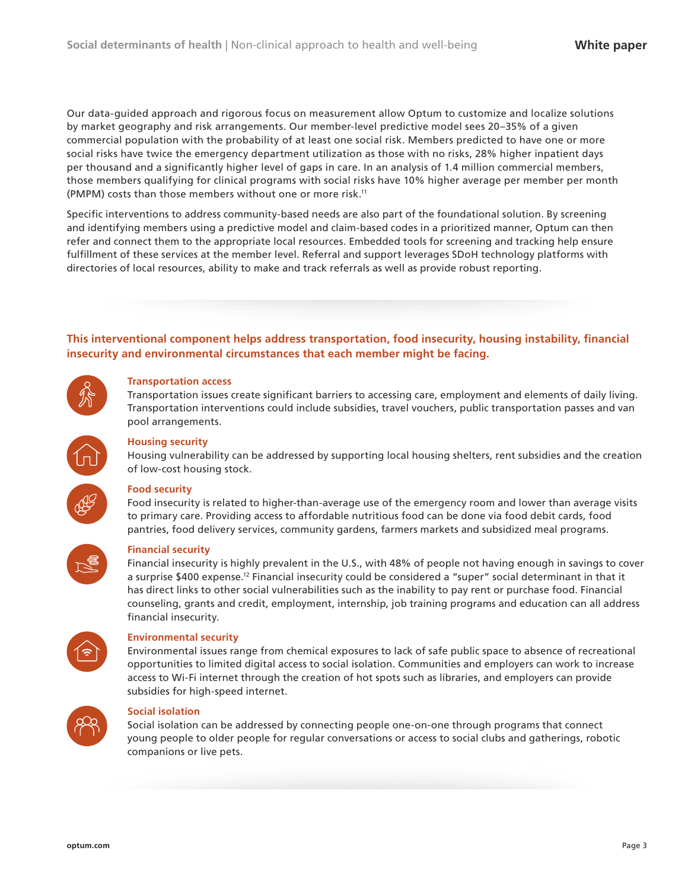Our data-guided approach and rigorous focus on measurement allow Optum to customize and localize solutions by market geography and risk arrangements. Our member-level predictive model sees 20–35% of a given commercial population with the probability of at least one social risk. Members predicted to have one or more social risks have twice the emergency department utilization as those with no risks, 28% higher inpatient days per thousand and a significantly higher level of gaps in care. In an analysis of 1.4 million commercial members, those members qualifying for clinical programs with social risks have 10% higher average per member per month (PMPM) costs than those members without one or more risk.11

Specific interventions to address community-based needs are also part of the foundational solution. By screening and identifying members using a predictive model and claim-based codes in a prioritized manner, Optum can then refer and connect them to the appropriate local resources. Embedded tools for screening and tracking help ensure fulfillment of these services at the member level. Referral and support leverages SDoH technology platforms with directories of local resources, ability to make and track referrals as well as provide robust reporting.

## **This interventional component helps address transportation, food insecurity, housing instability, financial insecurity and environmental circumstances that each member might be facing.**



### **Transportation access**

Transportation issues create significant barriers to accessing care, employment and elements of daily living. Transportation interventions could include subsidies, travel vouchers, public transportation passes and van pool arrangements.



#### **Housing security**

Housing vulnerability can be addressed by supporting local housing shelters, rent subsidies and the creation of low-cost housing stock.



### **Food security**

Food insecurity is related to higher-than-average use of the emergency room and lower than average visits to primary care. Providing access to affordable nutritious food can be done via food debit cards, food pantries, food delivery services, community gardens, farmers markets and subsidized meal programs.



#### **Financial security**

Financial insecurity is highly prevalent in the U.S., with 48% of people not having enough in savings to cover a surprise \$400 expense.12 Financial insecurity could be considered a "super" social determinant in that it has direct links to other social vulnerabilities such as the inability to pay rent or purchase food. Financial counseling, grants and credit, employment, internship, job training programs and education can all address financial insecurity.



#### **Environmental security**

Environmental issues range from chemical exposures to lack of safe public space to absence of recreational opportunities to limited digital access to social isolation. Communities and employers can work to increase access to Wi-Fi internet through the creation of hot spots such as libraries, and employers can provide subsidies for high-speed internet.



#### **Social isolation**

Social isolation can be addressed by connecting people one-on-one through programs that connect young people to older people for regular conversations or access to social clubs and gatherings, robotic companions or live pets.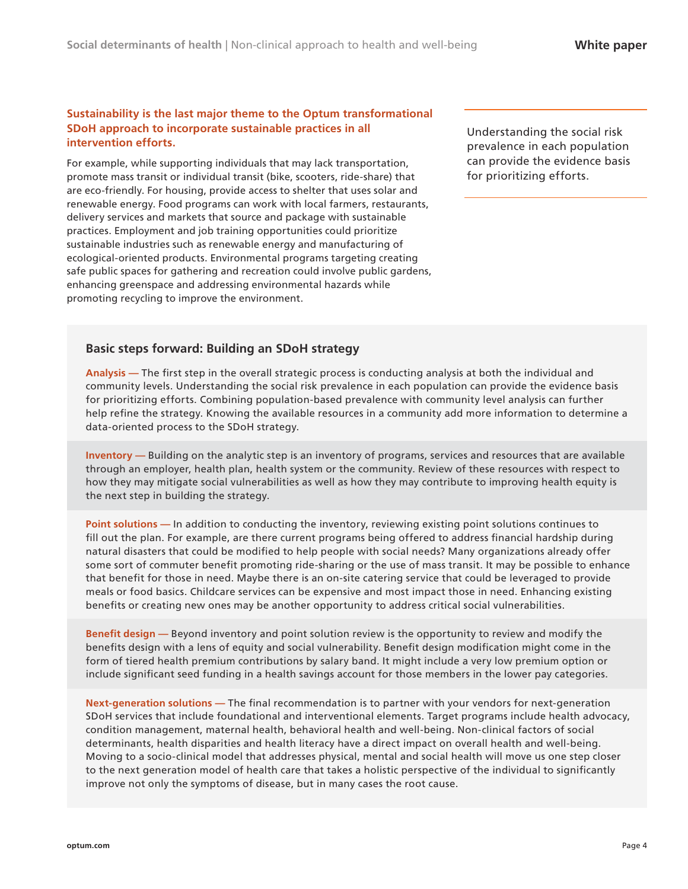## **Sustainability is the last major theme to the Optum transformational SDoH approach to incorporate sustainable practices in all intervention efforts.**

For example, while supporting individuals that may lack transportation, promote mass transit or individual transit (bike, scooters, ride-share) that are eco-friendly. For housing, provide access to shelter that uses solar and renewable energy. Food programs can work with local farmers, restaurants, delivery services and markets that source and package with sustainable practices. Employment and job training opportunities could prioritize sustainable industries such as renewable energy and manufacturing of ecological-oriented products. Environmental programs targeting creating safe public spaces for gathering and recreation could involve public gardens, enhancing greenspace and addressing environmental hazards while promoting recycling to improve the environment.

Understanding the social risk prevalence in each population can provide the evidence basis for prioritizing efforts.

## **Basic steps forward: Building an SDoH strategy**

**Analysis —** The first step in the overall strategic process is conducting analysis at both the individual and community levels. Understanding the social risk prevalence in each population can provide the evidence basis for prioritizing efforts. Combining population-based prevalence with community level analysis can further help refine the strategy. Knowing the available resources in a community add more information to determine a data-oriented process to the SDoH strategy.

**Inventory —** Building on the analytic step is an inventory of programs, services and resources that are available through an employer, health plan, health system or the community. Review of these resources with respect to how they may mitigate social vulnerabilities as well as how they may contribute to improving health equity is the next step in building the strategy.

**Point solutions —** In addition to conducting the inventory, reviewing existing point solutions continues to fill out the plan. For example, are there current programs being offered to address financial hardship during natural disasters that could be modified to help people with social needs? Many organizations already offer some sort of commuter benefit promoting ride-sharing or the use of mass transit. It may be possible to enhance that benefit for those in need. Maybe there is an on-site catering service that could be leveraged to provide meals or food basics. Childcare services can be expensive and most impact those in need. Enhancing existing benefits or creating new ones may be another opportunity to address critical social vulnerabilities.

**Benefit design —** Beyond inventory and point solution review is the opportunity to review and modify the benefits design with a lens of equity and social vulnerability. Benefit design modification might come in the form of tiered health premium contributions by salary band. It might include a very low premium option or include significant seed funding in a health savings account for those members in the lower pay categories.

**Next-generation solutions —** The final recommendation is to partner with your vendors for next-generation SDoH services that include foundational and interventional elements. Target programs include health advocacy, condition management, maternal health, behavioral health and well-being. Non-clinical factors of social determinants, health disparities and health literacy have a direct impact on overall health and well-being. Moving to a socio-clinical model that addresses physical, mental and social health will move us one step closer to the next generation model of health care that takes a holistic perspective of the individual to significantly improve not only the symptoms of disease, but in many cases the root cause.